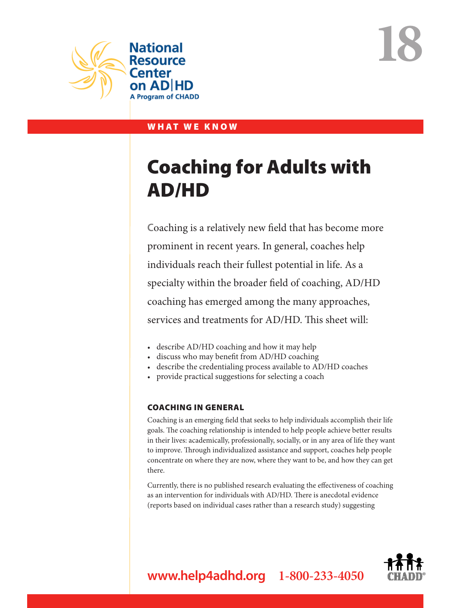



# WHAT WE KNOW

# Coaching for Adults with AD/HD

**C**oaching is a relatively new field that has become more prominent in recent years. In general, coaches help individuals reach their fullest potential in life. As a specialty within the broader field of coaching, AD/HD coaching has emerged among the many approaches, services and treatments for AD/HD. This sheet will:

- • describe AD/HD coaching and how it may help
- discuss who may benefit from AD/HD coaching
- describe the credentialing process available to AD/HD coaches
- provide practical suggestions for selecting a coach

## Coaching in General

Coaching is an emerging field that seeks to help individuals accomplish their life goals. The coaching relationship is intended to help people achieve better results in their lives: academically, professionally, socially, or in any area of life they want to improve. Through individualized assistance and support, coaches help people concentrate on where they are now, where they want to be, and how they can get there.

Currently, there is no published research evaluating the effectiveness of coaching as an intervention for individuals with AD/HD. There is anecdotal evidence (reports based on individual cases rather than a research study) suggesting



**www.help4adhd.org 1-800-233-4050**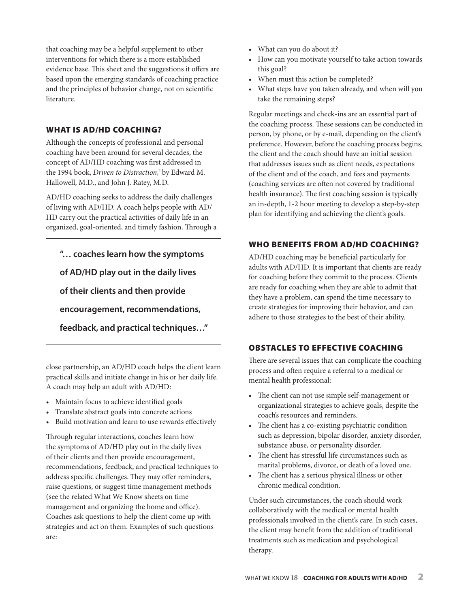that coaching may be a helpful supplement to other interventions for which there is a more established evidence base. This sheet and the suggestions it offers are based upon the emerging standards of coaching practice and the principles of behavior change, not on scientific literature.

## WHAT IS AD/HD COACHING?

Although the concepts of professional and personal coaching have been around for several decades, the concept of AD/HD coaching was first addressed in the 1994 book, *Driven to Distraction,*1 by Edward M. Hallowell, M.D., and John J. Ratey, M.D.

AD/HD coaching seeks to address the daily challenges of living with AD/HD. A coach helps people with AD/ HD carry out the practical activities of daily life in an organized, goal-oriented, and timely fashion. Through a

**"… coaches learn how the symptoms of AD/HD play out in the daily lives of their clients and then provide encouragement, recommendations, feedback, and practical techniques…"** 

close partnership, an AD/HD coach helps the client learn practical skills and initiate change in his or her daily life. A coach may help an adult with AD/HD:

- • Maintain focus to achieve identified goals
- Translate abstract goals into concrete actions
- • Build motivation and learn to use rewards effectively

Through regular interactions, coaches learn how the symptoms of AD/HD play out in the daily lives of their clients and then provide encouragement, recommendations, feedback, and practical techniques to address specific challenges. They may offer reminders, raise questions, or suggest time management methods (see the related What We Know sheets on time management and organizing the home and office). Coaches ask questions to help the client come up with strategies and act on them. Examples of such questions are:

- • What can you do about it?
- • How can you motivate yourself to take action towards this goal?
- • When must this action be completed?
- • What steps have you taken already, and when will you take the remaining steps?

Regular meetings and check-ins are an essential part of the coaching process. These sessions can be conducted in person, by phone, or by e-mail, depending on the client's preference. However, before the coaching process begins, the client and the coach should have an initial session that addresses issues such as client needs, expectations of the client and of the coach, and fees and payments (coaching services are often not covered by traditional health insurance). The first coaching session is typically an in-depth, 1-2 hour meeting to develop a step-by-step plan for identifying and achieving the client's goals.

# Who Benefits From AD/HD Coaching?

AD/HD coaching may be beneficial particularly for adults with AD/HD. It is important that clients are ready for coaching before they commit to the process. Clients are ready for coaching when they are able to admit that they have a problem, can spend the time necessary to create strategies for improving their behavior, and can adhere to those strategies to the best of their ability.

# Obstacles to Effective Coaching

There are several issues that can complicate the coaching process and often require a referral to a medical or mental health professional:

- The client can not use simple self-management or organizational strategies to achieve goals, despite the coach's resources and reminders.
- The client has a co-existing psychiatric condition such as depression, bipolar disorder, anxiety disorder, substance abuse, or personality disorder.
- • The client has stressful life circumstances such as marital problems, divorce, or death of a loved one.
- • The client has a serious physical illness or other chronic medical condition.

Under such circumstances, the coach should work collaboratively with the medical or mental health professionals involved in the client's care. In such cases, the client may benefit from the addition of traditional treatments such as medication and psychological therapy.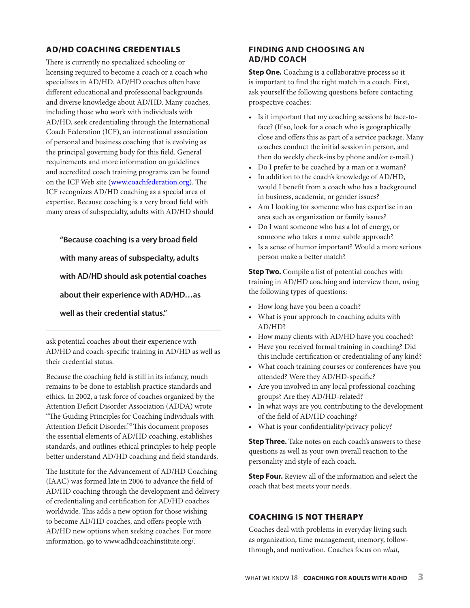## AD/HD Coaching Credentials

There is currently no specialized schooling or licensing required to become a coach or a coach who specializes in AD/HD. AD/HD coaches often have different educational and professional backgrounds and diverse knowledge about AD/HD. Many coaches, including those who work with individuals with AD/HD, seek credentialing through the International Coach Federation (ICF), an international association of personal and business coaching that is evolving as the principal governing body for this field. General requirements and more information on guidelines and accredited coach training programs can be found on the ICF Web site (www.coachfederation.org). The ICF recognizes AD/HD coaching as a special area of expertise. Because coaching is a very broad field with many areas of subspecialty, adults with AD/HD should

**"Because coaching is a very broad field with many areas of subspecialty, adults with AD/HD should ask potential coaches** 

**about their experience with AD/HD…as** 

**well as their credential status."**

ask potential coaches about their experience with AD/HD and coach-specific training in AD/HD as well as their credential status.

Because the coaching field is still in its infancy, much remains to be done to establish practice standards and ethics. In 2002, a task force of coaches organized by the Attention Deficit Disorder Association (ADDA) wrote "The Guiding Principles for Coaching Individuals with Attention Deficit Disorder."2 This document proposes the essential elements of AD/HD coaching, establishes standards, and outlines ethical principles to help people better understand AD/HD coaching and field standards.

The Institute for the Advancement of AD/HD Coaching (IAAC) was formed late in 2006 to advance the field of AD/HD coaching through the development and delivery of credentialing and certification for AD/HD coaches worldwide. This adds a new option for those wishing to become AD/HD coaches, and offers people with AD/HD new options when seeking coaches. For more information, go to www.adhdcoachinstitute.org/.

## **Finding and Choosing an AD/HD Coach**

**Step One.** Coaching is a collaborative process so it is important to find the right match in a coach. First, ask yourself the following questions before contacting prospective coaches:

- Is it important that my coaching sessions be face-toface? (If so, look for a coach who is geographically close and offers this as part of a service package. Many coaches conduct the initial session in person, and then do weekly check-ins by phone and/or e-mail.)
- Do I prefer to be coached by a man or a woman?
- In addition to the coach's knowledge of AD/HD, would I benefit from a coach who has a background in business, academia, or gender issues?
- • Am I looking for someone who has expertise in an area such as organization or family issues?
- • Do I want someone who has a lot of energy, or someone who takes a more subtle approach?
- Is a sense of humor important? Would a more serious person make a better match?

**Step Two.** Compile a list of potential coaches with training in AD/HD coaching and interview them, using the following types of questions:

- How long have you been a coach?
- • What is your approach to coaching adults with AD/HD?
- • How many clients with AD/HD have you coached?
- Have you received formal training in coaching? Did this include certification or credentialing of any kind?
- What coach training courses or conferences have you attended? Were they AD/HD-specific?
- • Are you involved in any local professional coaching groups? Are they AD/HD-related?
- • In what ways are you contributing to the development of the field of AD/HD coaching?
- • What is your confidentiality/privacy policy?

**Step Three.** Take notes on each coach's answers to these questions as well as your own overall reaction to the personality and style of each coach.

**Step Four.** Review all of the information and select the coach that best meets your needs.

# Coaching Is Not Therapy

Coaches deal with problems in everyday living such as organization, time management, memory, followthrough, and motivation. Coaches focus on *what*,